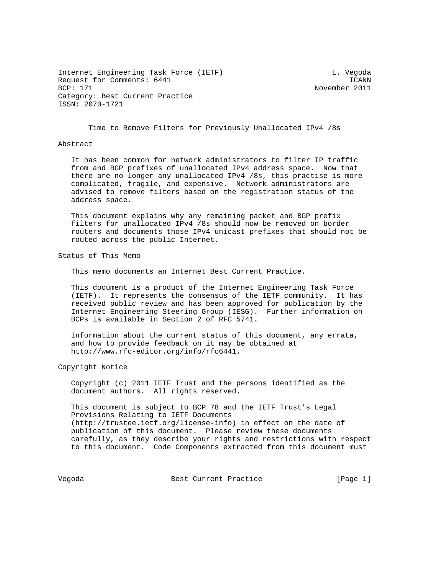Internet Engineering Task Force (IETF) and the control of the U. Vegoda Request for Comments: 6441 ICANN ICANN ICANN ICANN ICANN ICANN ICANN ICANN ICANN ICANN ICANN ICANN ICANN ICANN Category: Best Current Practice ISSN: 2070-1721

November 2011

Time to Remove Filters for Previously Unallocated IPv4 /8s

## Abstract

 It has been common for network administrators to filter IP traffic from and BGP prefixes of unallocated IPv4 address space. Now that there are no longer any unallocated IPv4 /8s, this practise is more complicated, fragile, and expensive. Network administrators are advised to remove filters based on the registration status of the address space.

 This document explains why any remaining packet and BGP prefix filters for unallocated IPv4 /8s should now be removed on border routers and documents those IPv4 unicast prefixes that should not be routed across the public Internet.

Status of This Memo

This memo documents an Internet Best Current Practice.

 This document is a product of the Internet Engineering Task Force (IETF). It represents the consensus of the IETF community. It has received public review and has been approved for publication by the Internet Engineering Steering Group (IESG). Further information on BCPs is available in Section 2 of RFC 5741.

 Information about the current status of this document, any errata, and how to provide feedback on it may be obtained at http://www.rfc-editor.org/info/rfc6441.

Copyright Notice

 Copyright (c) 2011 IETF Trust and the persons identified as the document authors. All rights reserved.

 This document is subject to BCP 78 and the IETF Trust's Legal Provisions Relating to IETF Documents (http://trustee.ietf.org/license-info) in effect on the date of publication of this document. Please review these documents carefully, as they describe your rights and restrictions with respect to this document. Code Components extracted from this document must

Vegoda **Best Current Practice** [Page 1]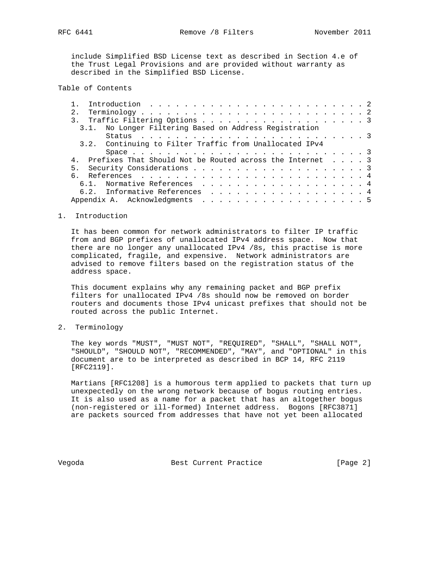include Simplified BSD License text as described in Section 4.e of the Trust Legal Provisions and are provided without warranty as described in the Simplified BSD License.

## Table of Contents

|                                                             |  | 3.1. No Longer Filtering Based on Address Registration  |  |  |  |  |  |  |  |  |  |  |  |  |  |  |
|-------------------------------------------------------------|--|---------------------------------------------------------|--|--|--|--|--|--|--|--|--|--|--|--|--|--|
|                                                             |  |                                                         |  |  |  |  |  |  |  |  |  |  |  |  |  |  |
|                                                             |  | 3.2. Continuing to Filter Traffic from Unallocated IPv4 |  |  |  |  |  |  |  |  |  |  |  |  |  |  |
|                                                             |  |                                                         |  |  |  |  |  |  |  |  |  |  |  |  |  |  |
| 4. Prefixes That Should Not be Routed across the Internet 3 |  |                                                         |  |  |  |  |  |  |  |  |  |  |  |  |  |  |
|                                                             |  |                                                         |  |  |  |  |  |  |  |  |  |  |  |  |  |  |
|                                                             |  |                                                         |  |  |  |  |  |  |  |  |  |  |  |  |  |  |
|                                                             |  | 6.1. Normative References 4                             |  |  |  |  |  |  |  |  |  |  |  |  |  |  |
|                                                             |  | 6.2. Informative References 4                           |  |  |  |  |  |  |  |  |  |  |  |  |  |  |
|                                                             |  |                                                         |  |  |  |  |  |  |  |  |  |  |  |  |  |  |

## 1. Introduction

 It has been common for network administrators to filter IP traffic from and BGP prefixes of unallocated IPv4 address space. Now that there are no longer any unallocated IPv4 /8s, this practise is more complicated, fragile, and expensive. Network administrators are advised to remove filters based on the registration status of the address space.

 This document explains why any remaining packet and BGP prefix filters for unallocated IPv4 /8s should now be removed on border routers and documents those IPv4 unicast prefixes that should not be routed across the public Internet.

2. Terminology

 The key words "MUST", "MUST NOT", "REQUIRED", "SHALL", "SHALL NOT", "SHOULD", "SHOULD NOT", "RECOMMENDED", "MAY", and "OPTIONAL" in this document are to be interpreted as described in BCP 14, RFC 2119 [RFC2119].

 Martians [RFC1208] is a humorous term applied to packets that turn up unexpectedly on the wrong network because of bogus routing entries. It is also used as a name for a packet that has an altogether bogus (non-registered or ill-formed) Internet address. Bogons [RFC3871] are packets sourced from addresses that have not yet been allocated

Vegoda **Best Current Practice Best Current Practice Example 2**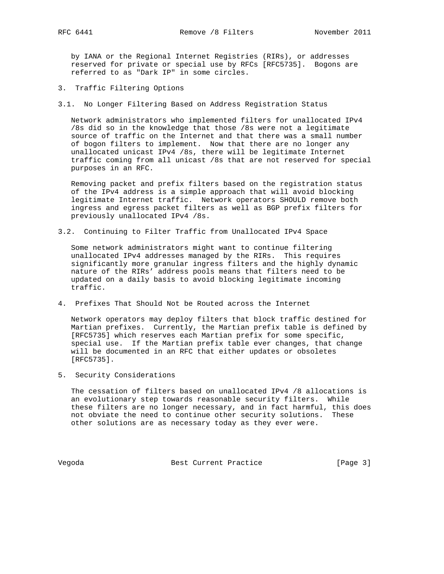by IANA or the Regional Internet Registries (RIRs), or addresses reserved for private or special use by RFCs [RFC5735]. Bogons are referred to as "Dark IP" in some circles.

- 3. Traffic Filtering Options
- 3.1. No Longer Filtering Based on Address Registration Status

 Network administrators who implemented filters for unallocated IPv4 /8s did so in the knowledge that those /8s were not a legitimate source of traffic on the Internet and that there was a small number of bogon filters to implement. Now that there are no longer any unallocated unicast IPv4 /8s, there will be legitimate Internet traffic coming from all unicast /8s that are not reserved for special purposes in an RFC.

 Removing packet and prefix filters based on the registration status of the IPv4 address is a simple approach that will avoid blocking legitimate Internet traffic. Network operators SHOULD remove both ingress and egress packet filters as well as BGP prefix filters for previously unallocated IPv4 /8s.

3.2. Continuing to Filter Traffic from Unallocated IPv4 Space

 Some network administrators might want to continue filtering unallocated IPv4 addresses managed by the RIRs. This requires significantly more granular ingress filters and the highly dynamic nature of the RIRs' address pools means that filters need to be updated on a daily basis to avoid blocking legitimate incoming traffic.

4. Prefixes That Should Not be Routed across the Internet

 Network operators may deploy filters that block traffic destined for Martian prefixes. Currently, the Martian prefix table is defined by [RFC5735] which reserves each Martian prefix for some specific, special use. If the Martian prefix table ever changes, that change will be documented in an RFC that either updates or obsoletes [RFC5735].

5. Security Considerations

 The cessation of filters based on unallocated IPv4 /8 allocations is an evolutionary step towards reasonable security filters. While these filters are no longer necessary, and in fact harmful, this does not obviate the need to continue other security solutions. These other solutions are as necessary today as they ever were.

Vegoda **Best Current Practice** [Page 3]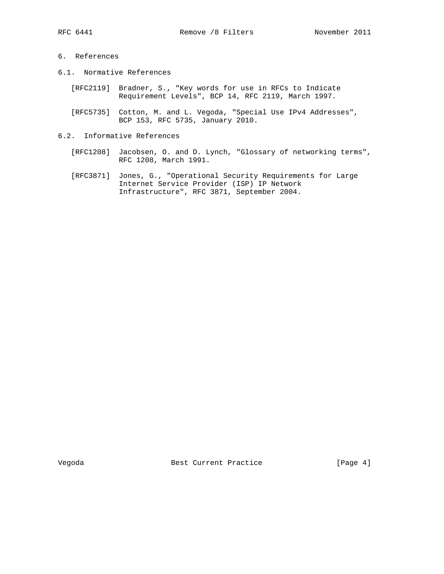## 6. References

- 6.1. Normative References
	- [RFC2119] Bradner, S., "Key words for use in RFCs to Indicate Requirement Levels", BCP 14, RFC 2119, March 1997.
	- [RFC5735] Cotton, M. and L. Vegoda, "Special Use IPv4 Addresses", BCP 153, RFC 5735, January 2010.
- 6.2. Informative References
	- [RFC1208] Jacobsen, O. and D. Lynch, "Glossary of networking terms", RFC 1208, March 1991.
	- [RFC3871] Jones, G., "Operational Security Requirements for Large Internet Service Provider (ISP) IP Network Infrastructure", RFC 3871, September 2004.

Vegoda **Best Current Practice** [Page 4]